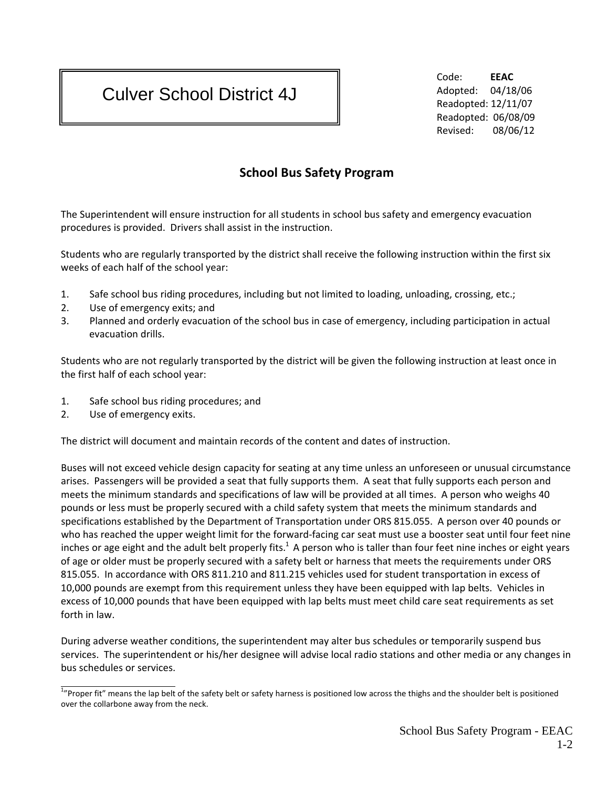## Culver School District 4J

 Code: **EEAC** Adopted: 04/18/06 Readopted: 12/11/07 Readopted: 06/08/09 Revised: 08/06/12

## **School Bus Safety Program**

The Superintendent will ensure instruction for all students in school bus safety and emergency evacuation procedures is provided. Drivers shall assist in the instruction.

Students who are regularly transported by the district shall receive the following instruction within the first six weeks of each half of the school year:

- 1. Safe school bus riding procedures, including but not limited to loading, unloading, crossing, etc.;
- 2. Use of emergency exits; and
- 3. Planned and orderly evacuation of the school bus in case of emergency, including participation in actual evacuation drills.

Students who are not regularly transported by the district will be given the following instruction at least once in the first half of each school year:

- 1. Safe school bus riding procedures; and
- 2. Use of emergency exits.

The district will document and maintain records of the content and dates of instruction.

Buses will not exceed vehicle design capacity for seating at any time unless an unforeseen or unusual circumstance arises. Passengers will be provided a seat that fully supports them. A seat that fully supports each person and meets the minimum standards and specifications of law will be provided at all times. A person who weighs 40 pounds or less must be properly secured with a child safety system that meets the minimum standards and specifications established by the Department of Transportation under ORS 815.055. A person over 40 pounds or who has reached the upper weight limit for the forward-facing car seat must use a booster seat until four feet nine inches or age eight and the adult belt properly fits.<sup>1</sup> A person who is taller than four feet nine inches or eight years of age or older must be properly secured with a safety belt or harness that meets the requirements under ORS 815.055. In accordance with ORS 811.210 and 811.215 vehicles used for student transportation in excess of 10,000 pounds are exempt from this requirement unless they have been equipped with lap belts. Vehicles in excess of 10,000 pounds that have been equipped with lap belts must meet child care seat requirements as set forth in law.

During adverse weather conditions, the superintendent may alter bus schedules or temporarily suspend bus services. The superintendent or his/her designee will advise local radio stations and other media or any changes in bus schedules or services.

<sup>&</sup>lt;sup>1</sup>"Proper fit" means the lap belt of the safety belt or safety harness is positioned low across the thighs and the shoulder belt is positioned over the collarbone away from the neck.